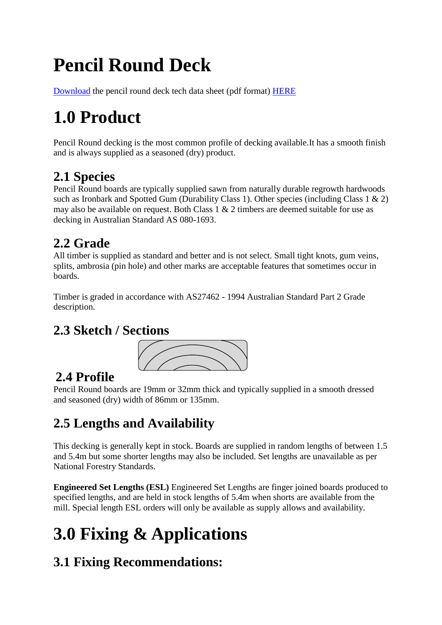# **Pencil Round Deck**

[Download](http://www.hardwooddecks.com.au/tech-data/new-deck.html) the pencil round deck tech data sheet (pdf format) **HERE** 

## **1.0 Product**

Pencil Round decking is the most common profile of decking available.It has a smooth finish and is always supplied as a seasoned (dry) product.

### **2.1 Species**

Pencil Round boards are typically supplied sawn from naturally durable regrowth hardwoods such as Ironbark and Spotted Gum (Durability Class 1). Other species (including Class 1 & 2) may also be available on request. Both Class 1 & 2 timbers are deemed suitable for use as decking in Australian Standard AS 080-1693.

## **2.2 Grade**

All timber is supplied as standard and better and is not select. Small tight knots, gum veins, splits, ambrosia (pin hole) and other marks are acceptable features that sometimes occur in boards.

Timber is graded in accordance with AS27462 - 1994 Australian Standard Part 2 Grade description.

#### **2.3 Sketch / Sections**



## **2.4 Profile**

Pencil Round boards are 19mm or 32mm thick and typically supplied in a smooth dressed and seasoned (dry) width of 86mm or 135mm.

## **2.5 Lengths and Availability**

This decking is generally kept in stock. Boards are supplied in random lengths of between 1.5 and 5.4m but some shorter lengths may also be included. Set lengths are unavailable as per National Forestry Standards.

**Engineered Set Lengths (ESL)** Engineered Set Lengths are finger joined boards produced to specified lengths, and are held in stock lengths of 5.4m when shorts are available from the mill. Special length ESL orders will only be available as supply allows and availability.

# **3.0 Fixing & Applications**

## **3.1 Fixing Recommendations:**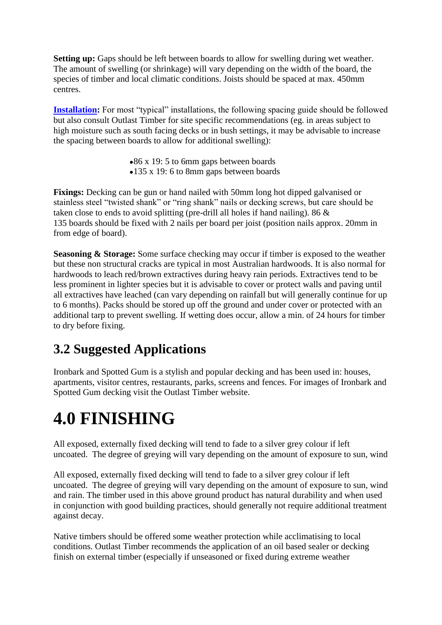**Setting up:** Gaps should be left between boards to allow for swelling during wet weather. The amount of swelling (or shrinkage) will vary depending on the width of the board, the species of timber and local climatic conditions. Joists should be spaced at max. 450mm centres.

**[Installation:](http://www.hardwooddecks.com.au/tech-data/new-deck.html)** For most "typical" installations, the following spacing guide should be followed but also consult Outlast Timber for site specific recommendations (eg. in areas subject to high moisture such as south facing decks or in bush settings, it may be advisable to increase the spacing between boards to allow for additional swelling):

> •86 x 19:5 to 6mm gaps between boards 135 x 19: 6 to 8mm gaps between boards

**Fixings:** Decking can be gun or hand nailed with 50mm long hot dipped galvanised or stainless steel "twisted shank" or "ring shank" nails or decking screws, but care should be taken close to ends to avoid splitting (pre-drill all holes if hand nailing). 86 & 135 boards should be fixed with 2 nails per board per joist (position nails approx. 20mm in from edge of board).

**Seasoning & Storage:** Some surface checking may occur if timber is exposed to the weather but these non structural cracks are typical in most Australian hardwoods. It is also normal for hardwoods to leach red/brown extractives during heavy rain periods. Extractives tend to be less prominent in lighter species but it is advisable to cover or protect walls and paving until all extractives have leached (can vary depending on rainfall but will generally continue for up to 6 months). Packs should be stored up off the ground and under cover or protected with an additional tarp to prevent swelling. If wetting does occur, allow a min. of 24 hours for timber to dry before fixing.

#### **3.2 Suggested Applications**

Ironbark and Spotted Gum is a stylish and popular decking and has been used in: houses, apartments, visitor centres, restaurants, parks, screens and fences. For images of Ironbark and Spotted Gum decking visit the Outlast Timber website.

## **4.0 FINISHING**

All exposed, externally fixed decking will tend to fade to a silver grey colour if left uncoated. The degree of greying will vary depending on the amount of exposure to sun, wind

All exposed, externally fixed decking will tend to fade to a silver grey colour if left uncoated. The degree of greying will vary depending on the amount of exposure to sun, wind and rain. The timber used in this above ground product has natural durability and when used in conjunction with good building practices, should generally not require additional treatment against decay.

Native timbers should be offered some weather protection while acclimatising to local conditions. Outlast Timber recommends the application of an oil based sealer or decking finish on external timber (especially if unseasoned or fixed during extreme weather